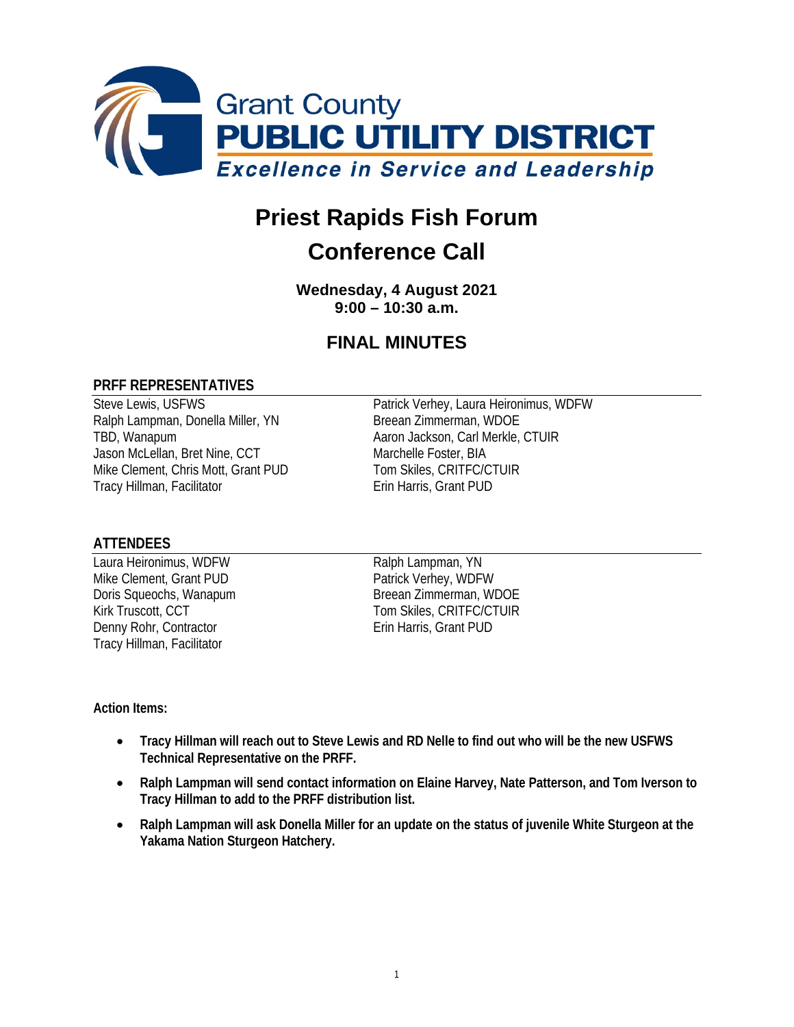

# **Priest Rapids Fish Forum**

## **Conference Call**

**Wednesday, 4 August 2021 9:00 – 10:30 a.m.**

### **FINAL MINUTES**

#### **PRFF REPRESENTATIVES**

Ralph Lampman, Donella Miller, YN TBD, Wanapum **Acker Access 19 Aaron Jackson, Carl Merkle, CTUIR** Jason McLellan, Bret Nine, CCT Marchelle Foster, BIA Mike Clement, Chris Mott, Grant PUD Tom Skiles, CRITFC/CTUIR Tracy Hillman, Facilitator **Example 20 Francis** Erin Harris, Grant PUD

Steve Lewis, USFWS<br>
Ralph Lampman, Donella Miller, YN<br>
Breean Zimmerman, WDOE<br>
Patrick Verhey, Laura Heironimus, WDFW

#### **ATTENDEES**

Laura Heironimus, WDFW<br>
Mike Clement, Grant PUD<br>
Patrick Verhey, WDFW Mike Clement, Grant PUD Denny Rohr, Contractor **Erin Harris**, Grant PUD Tracy Hillman, Facilitator

Doris Squeochs, Wanapum Breean Zimmerman, WDOE Kirk Truscott, CCT Tom Skiles, CRITFC/CTUIR

#### **Action Items:**

- **Tracy Hillman will reach out to Steve Lewis and RD Nelle to find out who will be the new USFWS Technical Representative on the PRFF.**
- **Ralph Lampman will send contact information on Elaine Harvey, Nate Patterson, and Tom Iverson to Tracy Hillman to add to the PRFF distribution list.**
- **Ralph Lampman will ask Donella Miller for an update on the status of juvenile White Sturgeon at the Yakama Nation Sturgeon Hatchery.**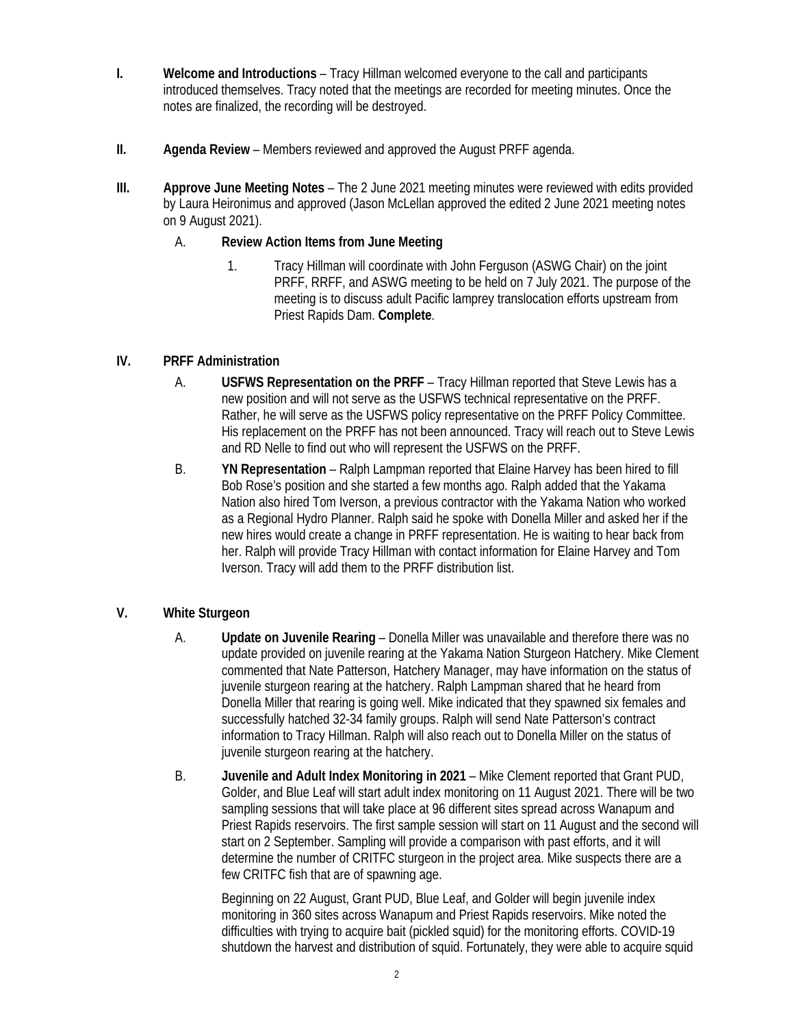- **I. Welcome and Introductions** Tracy Hillman welcomed everyone to the call and participants introduced themselves. Tracy noted that the meetings are recorded for meeting minutes. Once the notes are finalized, the recording will be destroyed.
- **II. Agenda Review**  Members reviewed and approved the August PRFF agenda.
- **III. Approve June Meeting Notes**  The 2 June 2021 meeting minutes were reviewed with edits provided by Laura Heironimus and approved (Jason McLellan approved the edited 2 June 2021 meeting notes on 9 August 2021).

#### A. **Review Action Items from June Meeting**

1. Tracy Hillman will coordinate with John Ferguson (ASWG Chair) on the joint PRFF, RRFF, and ASWG meeting to be held on 7 July 2021. The purpose of the meeting is to discuss adult Pacific lamprey translocation efforts upstream from Priest Rapids Dam. **Complete**.

#### **IV. PRFF Administration**

- A. **USFWS Representation on the PRFF** Tracy Hillman reported that Steve Lewis has a new position and will not serve as the USFWS technical representative on the PRFF. Rather, he will serve as the USFWS policy representative on the PRFF Policy Committee. His replacement on the PRFF has not been announced. Tracy will reach out to Steve Lewis and RD Nelle to find out who will represent the USFWS on the PRFF.
- B. **YN Representation** Ralph Lampman reported that Elaine Harvey has been hired to fill Bob Rose's position and she started a few months ago. Ralph added that the Yakama Nation also hired Tom Iverson, a previous contractor with the Yakama Nation who worked as a Regional Hydro Planner. Ralph said he spoke with Donella Miller and asked her if the new hires would create a change in PRFF representation. He is waiting to hear back from her. Ralph will provide Tracy Hillman with contact information for Elaine Harvey and Tom Iverson. Tracy will add them to the PRFF distribution list.

#### **V. White Sturgeon**

- A. **Update on Juvenile Rearing**  Donella Miller was unavailable and therefore there was no update provided on juvenile rearing at the Yakama Nation Sturgeon Hatchery. Mike Clement commented that Nate Patterson, Hatchery Manager, may have information on the status of juvenile sturgeon rearing at the hatchery. Ralph Lampman shared that he heard from Donella Miller that rearing is going well. Mike indicated that they spawned six females and successfully hatched 32-34 family groups. Ralph will send Nate Patterson's contract information to Tracy Hillman. Ralph will also reach out to Donella Miller on the status of juvenile sturgeon rearing at the hatchery.
- B. **Juvenile and Adult Index Monitoring in 2021**  Mike Clement reported that Grant PUD, Golder, and Blue Leaf will start adult index monitoring on 11 August 2021. There will be two sampling sessions that will take place at 96 different sites spread across Wanapum and Priest Rapids reservoirs. The first sample session will start on 11 August and the second will start on 2 September. Sampling will provide a comparison with past efforts, and it will determine the number of CRITFC sturgeon in the project area. Mike suspects there are a few CRITFC fish that are of spawning age.

Beginning on 22 August, Grant PUD, Blue Leaf, and Golder will begin juvenile index monitoring in 360 sites across Wanapum and Priest Rapids reservoirs. Mike noted the difficulties with trying to acquire bait (pickled squid) for the monitoring efforts. COVID-19 shutdown the harvest and distribution of squid. Fortunately, they were able to acquire squid